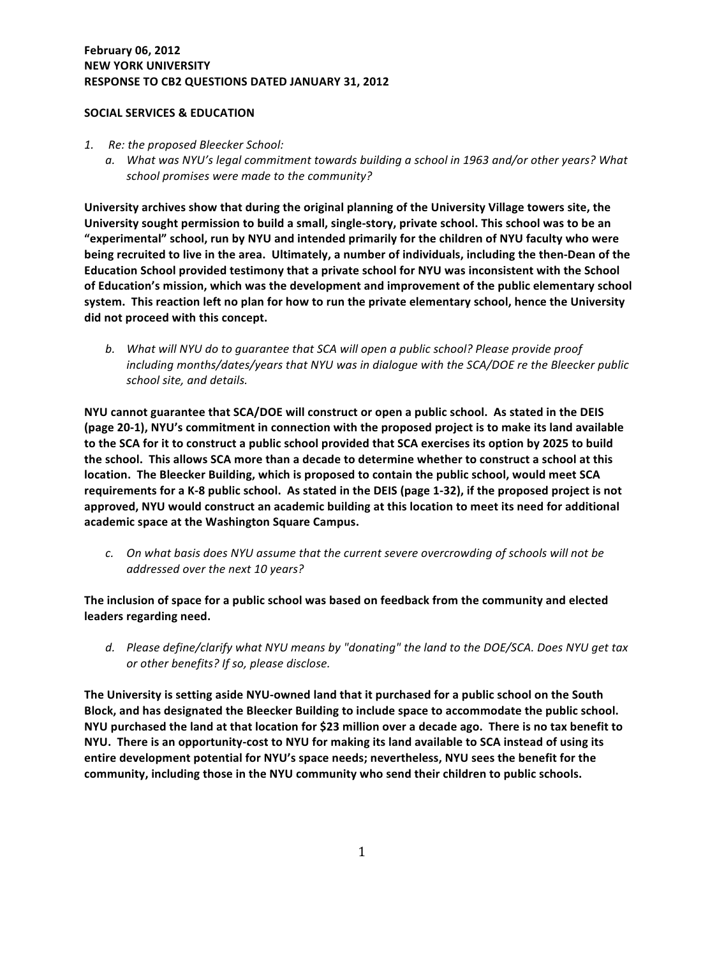## **February 06, 2012 NEW YORK UNIVERSITY** RESPONSE TO CB2 QUESTIONS DATED JANUARY 31, 2012

## **SOCIAL SERVICES & EDUCATION**

- 1. Re: the proposed Bleecker School:
	- a. What was NYU's legal commitment towards building a school in 1963 and/or other years? What school promises were made to the community?

University archives show that during the original planning of the University Village towers site, the University sought permission to build a small, single-story, private school. This school was to be an "experimental" school, run by NYU and intended primarily for the children of NYU faculty who were being recruited to live in the area. Ultimately, a number of individuals, including the then-Dean of the **Education School provided testimony that a private school for NYU was inconsistent with the School** of Education's mission, which was the development and improvement of the public elementary school system. This reaction left no plan for how to run the private elementary school, hence the University did not proceed with this concept.

**b.** What will NYU do to guarantee that SCA will open a public school? Please provide proof *including months/dates/years that NYU was in dialogue with the SCA/DOE re the Bleecker public school#site,#and#details.#*

**NYU cannot guarantee that SCA/DOE will construct or open a public school. As stated in the DEIS** (page 20-1), NYU's commitment in connection with the proposed project is to make its land available to the SCA for it to construct a public school provided that SCA exercises its option by 2025 to build the school. This allows SCA more than a decade to determine whether to construct a school at this location. The Bleecker Building, which is proposed to contain the public school, would meet SCA **requirements for a K-8 public school.** As stated in the DEIS (page 1-32), if the proposed project is not approved, NYU would construct an academic building at this location to meet its need for additional academic space at the Washington Square Campus.

*c.* On what basis does NYU assume that the current severe overcrowding of schools will not be addressed over the next 10 years?

The inclusion of space for a public school was based on feedback from the community and elected **leaders** regarding need.

d. Please define/clarify what NYU means by "donating" the land to the DOE/SCA. Does NYU get tax *or other benefits? If so, please disclose.* 

The University is setting aside NYU-owned land that it purchased for a public school on the South Block, and has designated the Bleecker Building to include space to accommodate the public school. **NYU purchased the land at that location for \$23 million over a decade ago. There is no tax benefit to NYU.** There is an opportunity-cost to NYU for making its land available to SCA instead of using its entire development potential for NYU's space needs; nevertheless, NYU sees the benefit for the community, including those in the NYU community who send their children to public schools.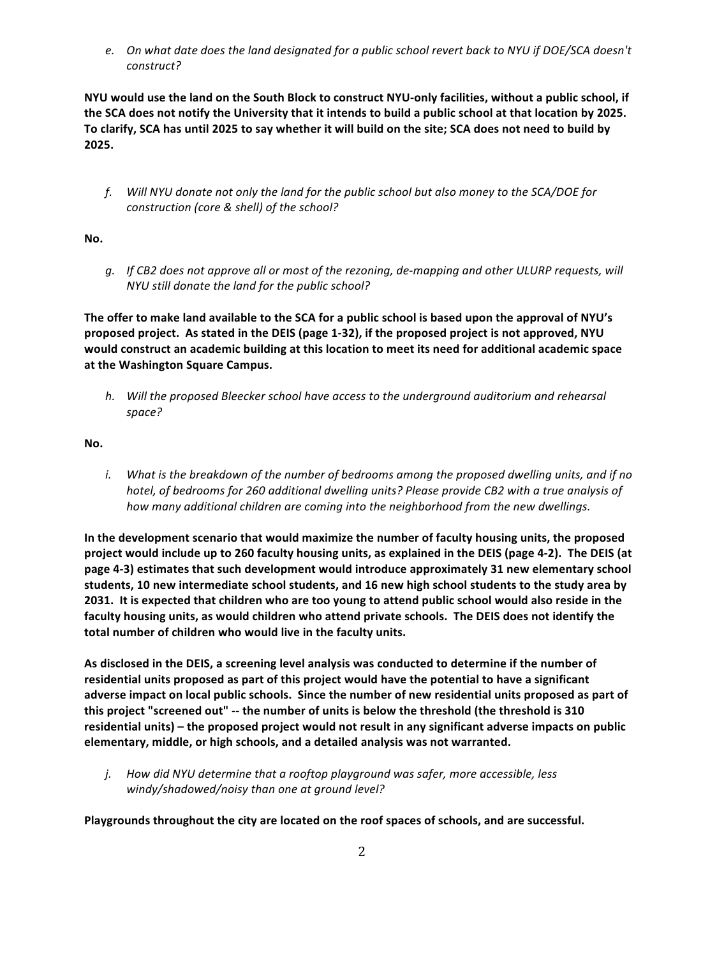*e.* On what date does the land designated for a public school revert back to NYU if DOE/SCA doesn't *construct?#*

NYU would use the land on the South Block to construct NYU-only facilities, without a public school, if the SCA does not notify the University that it intends to build a public school at that location by 2025. To clarify, SCA has until 2025 to say whether it will build on the site; SCA does not need to build by **2025.**

*f.* Will NYU donate not only the land for the public school but also money to the SCA/DOE for *construction (core & shell) of the school?* 

**No.**

*g.* If CB2 does not approve all or most of the rezoning, de-mapping and other ULURP requests, will *NYU still donate the land for the public school?* 

The offer to make land available to the SCA for a public school is based upon the approval of NYU's proposed project. As stated in the DEIS (page 1-32), if the proposed project is not approved, NYU would construct an academic building at this location to meet its need for additional academic space at the Washington Square Campus.

*h.* Will the proposed Bleecker school have access to the underground auditorium and rehearsal *space?#*

No.

*i.* What is the breakdown of the number of bedrooms among the proposed dwelling units, and if no *hotel, of bedrooms for 260 additional dwelling units? Please provide CB2 with a true analysis of* how many additional children are coming into the neighborhood from the new dwellings.

In the development scenario that would maximize the number of faculty housing units, the proposed project would include up to 260 faculty housing units, as explained in the DEIS (page 4-2). The DEIS (at page 4-3) estimates that such development would introduce approximately 31 new elementary school **students, 10 new intermediate school students, and 16 new high school students to the study area by 2031. It is expected that children who are too young to attend public school would also reside in the** faculty housing units, as would children who attend private schools. The DEIS does not identify the total number of children who would live in the faculty units.

As disclosed in the DEIS, a screening level analysis was conducted to determine if the number of residential units proposed as part of this project would have the potential to have a significant adverse impact on local public schools. Since the number of new residential units proposed as part of this project "screened out" -- the number of units is below the threshold (the threshold is 310 residential units) – the proposed project would not result in any significant adverse impacts on public **elementary, middle, or high schools, and a detailed analysis was not warranted.** 

*j.* How did NYU determine that a rooftop playground was safer, more accessible, less windy/shadowed/noisy than one at ground level?

Playgrounds throughout the city are located on the roof spaces of schools, and are successful.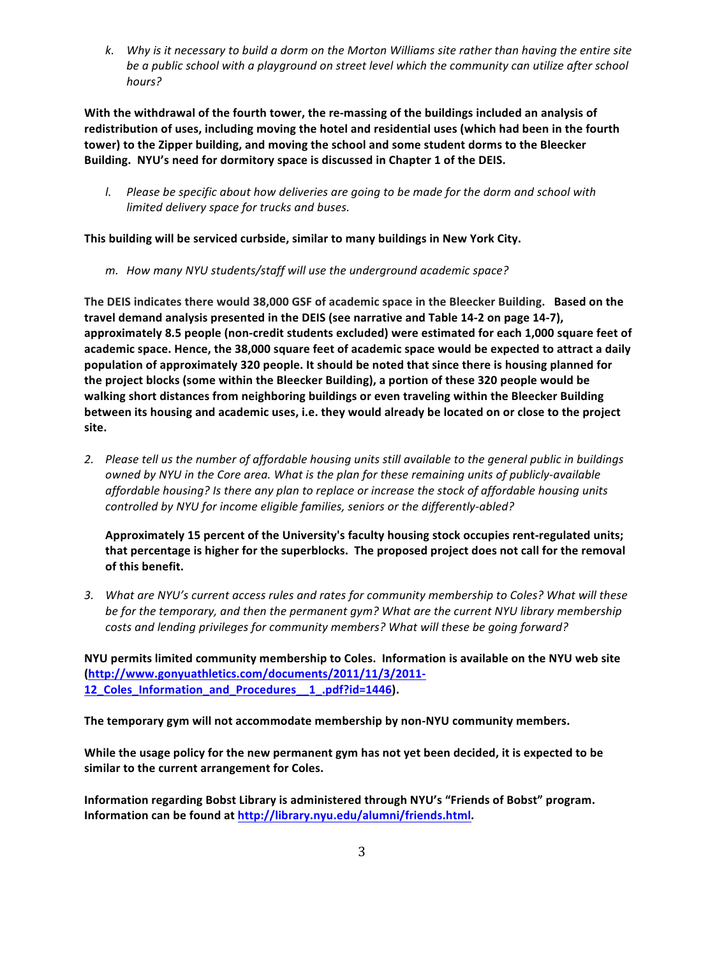*k.* Why is it necessary to build a dorm on the Morton Williams site rather than having the entire site be a public school with a playground on street level which the community can utilize after school *hours?#*

With the withdrawal of the fourth tower, the re-massing of the buildings included an analysis of redistribution of uses, including moving the hotel and residential uses (which had been in the fourth tower) to the Zipper building, and moving the school and some student dorms to the Bleecker Building. NYU's need for dormitory space is discussed in Chapter 1 of the DEIS.

*l.* Please be specific about how deliveries are going to be made for the dorm and school with *limited delivery space for trucks and buses.* 

This building will be serviced curbside, similar to many buildings in New York City.

*m. How many NYU students/staff will use the underground academic space?* 

The DEIS indicates there would 38,000 GSF of academic space in the Bleecker Building. Based on the travel demand analysis presented in the DEIS (see narrative and Table 14-2 on page 14-7), approximately 8.5 people (non-credit students excluded) were estimated for each 1,000 square feet of academic space. Hence, the 38,000 square feet of academic space would be expected to attract a daily population of approximately 320 people. It should be noted that since there is housing planned for the project blocks (some within the Bleecker Building), a portion of these 320 people would be walking short distances from neighboring buildings or even traveling within the Bleecker Building between its housing and academic uses, i.e. they would already be located on or close to the project **site.**

2. Please tell us the number of affordable housing units still available to the general public in buildings *owned by NYU in the Core area. What is the plan for these remaining units of publicly-available* affordable housing? Is there any plan to replace or increase the stock of affordable housing units controlled by NYU for income eligible families, seniors or the differently-abled?

Approximately 15 percent of the University's faculty housing stock occupies rent-regulated units; that percentage is higher for the superblocks. The proposed project does not call for the removal of this benefit.

3. What are NYU's current access rules and rates for community membership to Coles? What will these be for the temporary, and then the permanent gym? What are the current NYU library membership *costs and lending privileges for community members? What will these be going forward?* 

NYU permits limited community membership to Coles. Information is available on the NYU web site **(http://www.gonyuathletics.com/documents/2011/11/3/2011S 12\_Coles\_Information\_and\_Procedures\_\_1\_.pdf?id=1446).(**

The temporary gym will not accommodate membership by non-NYU community members.

**While the usage policy for the new permanent gym has not yet been decided, it is expected to be** similar to the current arrangement for Coles.

Information regarding Bobst Library is administered through NYU's "Friends of Bobst" program. Information can be found at http://library.nyu.edu/alumni/friends.html.